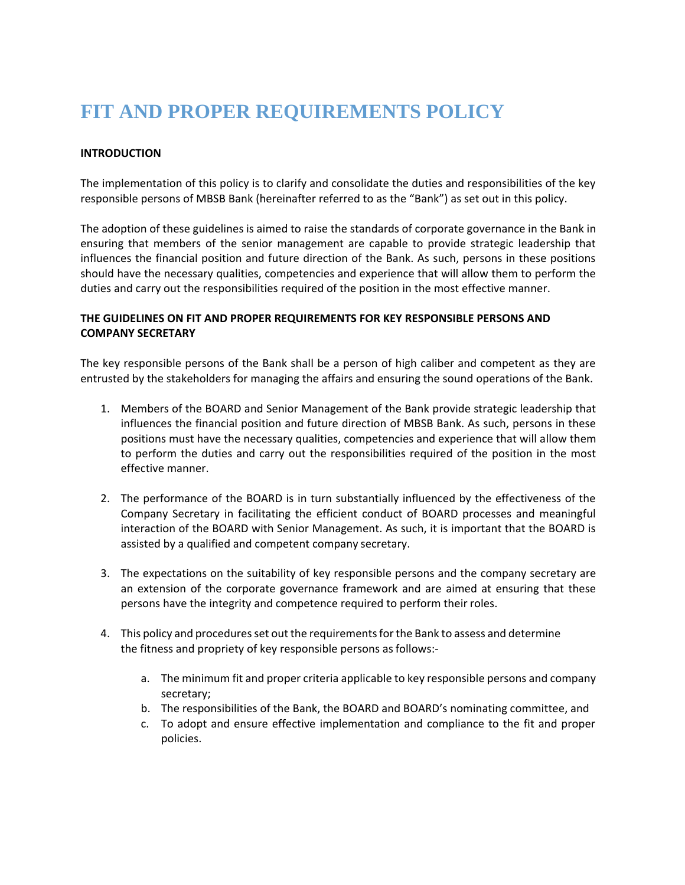## **FIT AND PROPER REQUIREMENTS POLICY**

## **INTRODUCTION**

The implementation of this policy is to clarify and consolidate the duties and responsibilities of the key responsible persons of MBSB Bank (hereinafter referred to as the "Bank") as set out in this policy.

The adoption of these guidelines is aimed to raise the standards of corporate governance in the Bank in ensuring that members of the senior management are capable to provide strategic leadership that influences the financial position and future direction of the Bank. As such, persons in these positions should have the necessary qualities, competencies and experience that will allow them to perform the duties and carry out the responsibilities required of the position in the most effective manner.

## **THE GUIDELINES ON FIT AND PROPER REQUIREMENTS FOR KEY RESPONSIBLE PERSONS AND COMPANY SECRETARY**

The key responsible persons of the Bank shall be a person of high caliber and competent as they are entrusted by the stakeholders for managing the affairs and ensuring the sound operations of the Bank.

- 1. Members of the BOARD and Senior Management of the Bank provide strategic leadership that influences the financial position and future direction of MBSB Bank. As such, persons in these positions must have the necessary qualities, competencies and experience that will allow them to perform the duties and carry out the responsibilities required of the position in the most effective manner.
- 2. The performance of the BOARD is in turn substantially influenced by the effectiveness of the Company Secretary in facilitating the efficient conduct of BOARD processes and meaningful interaction of the BOARD with Senior Management. As such, it is important that the BOARD is assisted by a qualified and competent company secretary.
- 3. The expectations on the suitability of key responsible persons and the company secretary are an extension of the corporate governance framework and are aimed at ensuring that these persons have the integrity and competence required to perform their roles.
- 4. This policy and procedures set out the requirements for the Bank to assess and determine the fitness and propriety of key responsible persons asfollows:
	- a. The minimum fit and proper criteria applicable to key responsible persons and company secretary;
	- b. The responsibilities of the Bank, the BOARD and BOARD's nominating committee, and
	- c. To adopt and ensure effective implementation and compliance to the fit and proper policies.